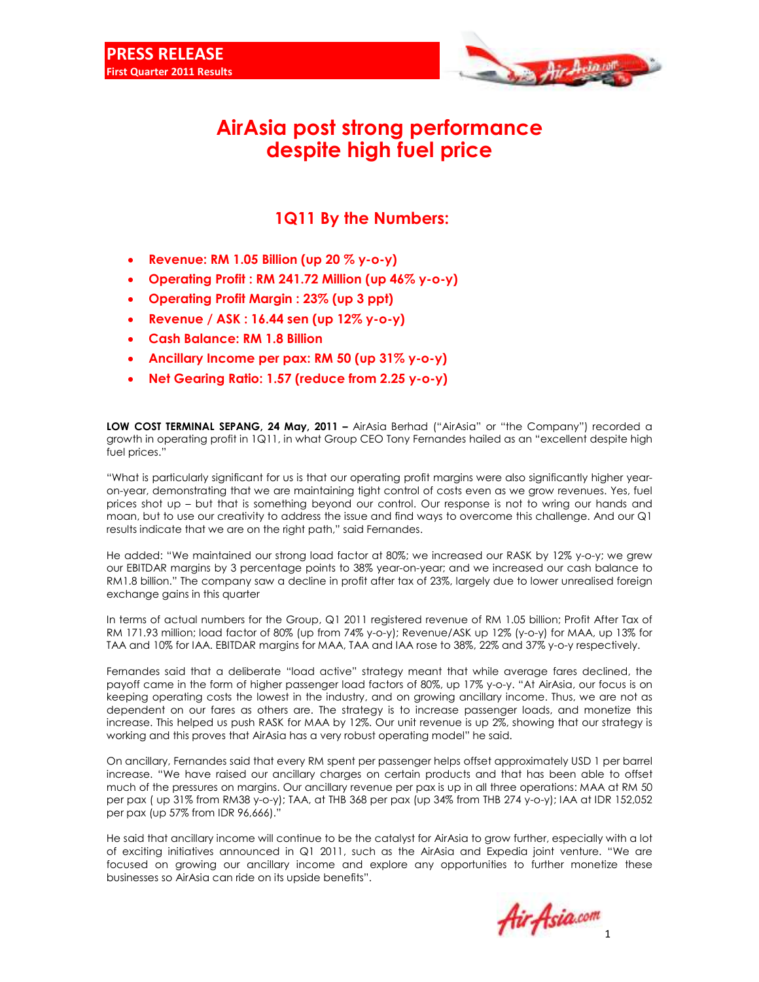

## AirAsia post strong performance despite high fuel price

## 1Q11 By the Numbers:

- Revenue: RM 1.05 Billion (up 20 % y-o-y)
- Operating Profit : RM 241.72 Million (up 46% y-o-y)
- Operating Profit Margin : 23% (up 3 ppt)
- Revenue / ASK : 16.44 sen (up 12% y-o-y)
- Cash Balance: RM 1.8 Billion
- Ancillary Income per pax: RM 50 (up 31% y-o-y)
- Net Gearing Ratio: 1.57 (reduce from 2.25 y-o-y)

LOW COST TERMINAL SEPANG, 24 May, 2011 - AirAsia Berhad ("AirAsia" or "the Company") recorded a growth in operating profit in 1Q11, in what Group CEO Tony Fernandes hailed as an "excellent despite high fuel prices."

"What is particularly significant for us is that our operating profit margins were also significantly higher yearon-year, demonstrating that we are maintaining tight control of costs even as we grow revenues. Yes, fuel prices shot up – but that is something beyond our control. Our response is not to wring our hands and moan, but to use our creativity to address the issue and find ways to overcome this challenge. And our Q1 results indicate that we are on the right path," said Fernandes.

He added: "We maintained our strong load factor at 80%; we increased our RASK by 12% y-o-y; we grew our EBITDAR margins by 3 percentage points to 38% year-on-year; and we increased our cash balance to RM1.8 billion." The company saw a decline in profit after tax of 23%, largely due to lower unrealised foreign exchange gains in this quarter

In terms of actual numbers for the Group, Q1 2011 registered revenue of RM 1.05 billion; Profit After Tax of RM 171.93 million; load factor of 80% (up from 74% y-o-y); Revenue/ASK up 12% (y-o-y) for MAA, up 13% for TAA and 10% for IAA. EBITDAR margins for MAA, TAA and IAA rose to 38%, 22% and 37% y-o-y respectively.

Fernandes said that a deliberate "load active" strategy meant that while average fares declined, the payoff came in the form of higher passenger load factors of 80%, up 17% y-o-y. "At AirAsia, our focus is on keeping operating costs the lowest in the industry, and on growing ancillary income. Thus, we are not as dependent on our fares as others are. The strategy is to increase passenger loads, and monetize this increase. This helped us push RASK for MAA by 12%. Our unit revenue is up 2%, showing that our strategy is working and this proves that AirAsia has a very robust operating model" he said.

On ancillary, Fernandes said that every RM spent per passenger helps offset approximately USD 1 per barrel increase. "We have raised our ancillary charges on certain products and that has been able to offset much of the pressures on margins. Our ancillary revenue per pax is up in all three operations: MAA at RM 50 per pax ( up 31% from RM38 y-o-y); TAA, at THB 368 per pax (up 34% from THB 274 y-o-y); IAA at IDR 152,052 per pax (up 57% from IDR 96,666)."

He said that ancillary income will continue to be the catalyst for AirAsia to grow further, especially with a lot of exciting initiatives announced in Q1 2011, such as the AirAsia and Expedia joint venture. "We are focused on growing our ancillary income and explore any opportunities to further monetize these businesses so AirAsia can ride on its upside benefits".